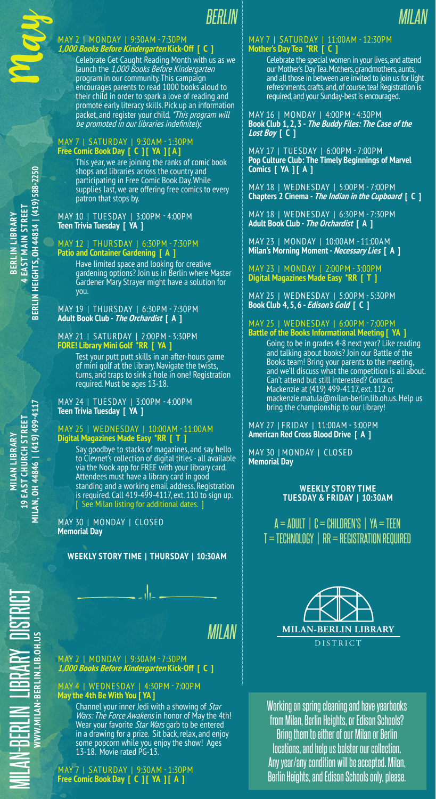*BERLIN*

#### May 2 | Monday | 9:30AM - 7:30PM **1,000 Books Before Kindergarten Kick-Off [ C ]**

Celebrate Get Caught Reading Month with us as we launch the 1,000 Books Before Kindergarten program in our community. This campaign encourages parents to read 1000 books aloud to their child in order to spark a love of reading and promote early literacy skills. Pick up an information packet, and register your child. \*This program will be promoted in our libraries indefinitely.

#### May 7 | Saturday | 9:30AM - 1:30PM **Free Comic Book Day [ C ] [ YA ] [ A ]**

This year, we are joining the ranks of comic book shops and libraries across the country and participating in Free Comic Book Day. While supplies last, we are offering free comics to every patron that stops by.

May 10 | Tuesday | 3:00PM - 4:00PM **Teen Trivia Tuesday [ YA ]**

### May 12 | Thursday | 6:30PM - 7:30PM **Patio and Container Gardening [ A ]**

Have limited space and looking for creative gardening options? Join us in Berlin where Master Gardener Mary Strayer might have a solution for you.

May 19 | Thursday | 6:30PM - 7:30PM **Adult Book Club - The Orchardist [ A ]**

#### May 21 | Saturday | 2:00PM - 3:30PM **FORE! Library Mini Golf \*RR [ YA ]**

Test your putt putt skills in an after-hours game of mini golf at the library. Navigate the twists, turns, and traps to sink a hole in one! Registration required. Must be ages 13-18.

May 24 | Tuesday | 3:00PM - 4:00PM **Teen Trivia Tuesday [ YA ]**

### May 25 | Wednesday | 10:00AM - 11:00AM **Digital Magazines Made Easy \*RR [ T ]**

Say goodbye to stacks of magazines, and say hello to Clevnet's collection of digital titles - all available via the Nook app for FREE with your library card. Attendees must have a library card in good standing and a working email address. Registration is required. Call 419-499-4117, ext. 110 to sign up. [ See Milan listing for additional dates. ]

May 30 | Monday | CLOSED **Memorial Day**

# **Weekly Story Time | Thursday | 10:30AM**

*Milan*

## May 2 | Monday | 9:30AM - 7:30PM **1,000 Books Before Kindergarten Kick-Off [ C ]**

May 4 | Wednesday | 4:30PM - 7:00PM **May the 4th Be With You [ YA ]**

> Channel your inner Jedi with a showing of Star Wars: The Force Awakens in honor of May the 4th! Wear your favorite Star Wars garb to be entered in a drawing for a prize. Sit back, relax, and enjoy some popcorn while you enjoy the show! Ages 13-18. Movie rated PG-13.

May 7 | Saturday | 9:30AM - 1:30PM **Free Comic Book Day [ C ] [ YA ] [ A ]**

#### May 7 | Saturday | 11:00AM - 12:30PM **Mother's Day Tea \*RR [ C ]**

Celebrate the special women in your lives, and attend our Mother's Day Tea. Mothers, grandmothers, aunts, and all those in between are invited to join us for light refreshments, crafts, and, of course, tea! Registration is required, and your Sunday-best is encouraged.

*Milan*

May 16 | Monday | 4:00PM - 4:30PM **Book Club 1, 2, 3 - The Buddy Files: The Case of the Lost Boy [ C ]**

May 17 | Tuesday | 6:00PM - 7:00PM **Pop Culture Club: The Timely Beginnings of Marvel Comics [ YA ] [ A ]**

May 18 | Wednesday | 5:00PM - 7:00PM **Chapters 2 Cinema - The Indian in the Cupboard [ C ]**

May 18 | Wednesday | 6:30PM - 7:30PM **Adult Book Club - The Orchardist [ A ]**

May 23 | Monday | 10:00AM - 11:00AM **Milan's Morning Moment - Necessary Lies [ A ]**

May 23 | Monday | 2:00PM - 3:00PM **Digital Magazines Made Easy \*RR [ T ]**

May 25 | Wednesday | 5:00PM - 5:30PM **Book Club 4, 5, 6 - Edison's Gold [ C ]**

#### May 25 | Wednesday | 6:00PM - 7:00PM **Battle of the Books Informational Meeting [ YA ]**

Going to be in grades 4-8 next year? Like reading and talking about books? Join our Battle of the Books team! Bring your parents to the meeting, and we'll discuss what the competition is all about. Can't attend but still interested? Contact Mackenzie at (419) 499-4117, ext. 112 or mackenzie.matula@milan-berlin.lib.oh.us. Help us bring the championship to our library!

#### May 27 | Friday | 11:00AM - 3:00PM **American Red Cross Blood Drive [ A ]**

May 30 | Monday | Closed **Memorial Day**

### **Weekly Story Time Tuesday & FRIDAY | 10:30AM**

 $A = ADULT$  |  $C = CHILDREN'S$  |  $YA = TEEN$  $T = TECH NOLOGY$  | RR = REGISTRATION REQUIRED



Working on spring cleaning and have yearbooks from Milan, Berlin Heights, or Edison Schools? Bring them to either of our Milan or Berlin locations, and help us bolster our collection. Any year/any condition will be accepted. Milan, Berlin Heights, and Edison Schools only, please.

**Berlin Library 4 East Main Street Berlin Heights, OH 44814 | (419) 588-2250**

**BERLIN HEIGHTS, OH 44814 | (419) 588-2250** EAST MAIN STREET BERLIN LIBRARY

Milan-Berlin

**Librar** 

**www.milan-berlin.lib.oh.us**

VWW.MILAN-BERLIN.LIB.OH.US

 $\left. \rule{0.3cm}{0.12cm}\right.$ 

Distri

cthe Council

May